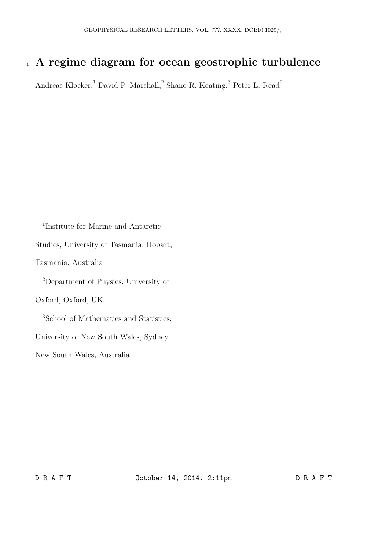# 1 A regime diagram for ocean geostrophic turbulence

Andreas Klocker,<sup>1</sup> David P. Marshall,<sup>2</sup> Shane R. Keating,<sup>3</sup> Peter L. Read<sup>2</sup>

1 Institute for Marine and Antarctic Studies, University of Tasmania, Hobart, Tasmania, Australia <sup>2</sup>Department of Physics, University of Oxford, Oxford, UK. <sup>3</sup>School of Mathematics and Statistics, University of New South Wales, Sydney, New South Wales, Australia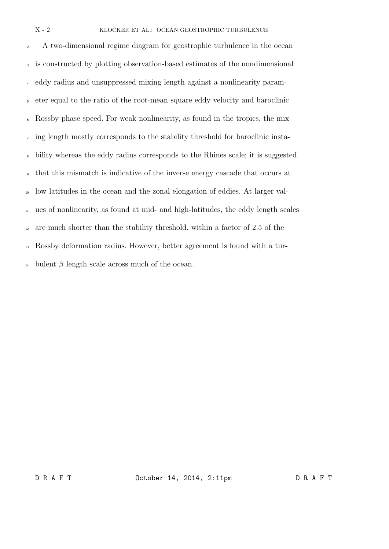<sup>2</sup> A two-dimensional regime diagram for geostrophic turbulence in the ocean is constructed by plotting observation-based estimates of the nondimensional eddy radius and unsuppressed mixing length against a nonlinearity param- eter equal to the ratio of the root-mean square eddy velocity and baroclinic Rossby phase speed. For weak nonlinearity, as found in the tropics, the mix- ing length mostly corresponds to the stability threshold for baroclinic insta- bility whereas the eddy radius corresponds to the Rhines scale; it is suggested that this mismatch is indicative of the inverse energy cascade that occurs at low latitudes in the ocean and the zonal elongation of eddies. At larger val- ues of nonlinearity, as found at mid- and high-latitudes, the eddy length scales are much shorter than the stability threshold, within a factor of 2.5 of the Rossby deformation radius. However, better agreement is found with a tur-<sup>14</sup> bulent  $\beta$  length scale across much of the ocean.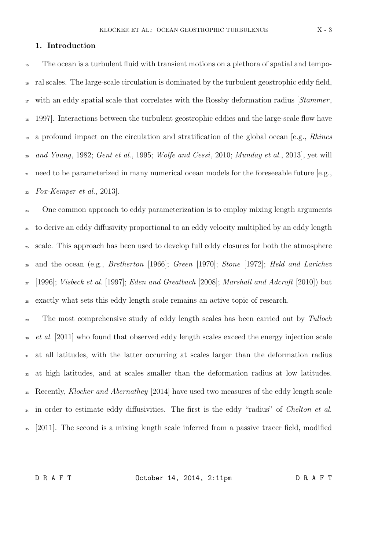# 1. Introduction

<sup>15</sup> The ocean is a turbulent fluid with transient motions on a plethora of spatial and tempo-<sup>16</sup> ral scales. The large-scale circulation is dominated by the turbulent geostrophic eddy field,  $\mu$ <sup>17</sup> with an eddy spatial scale that correlates with the Rossby deformation radius [*Stammer*, <sup>18</sup> 1997. Interactions between the turbulent geostrophic eddies and the large-scale flow have <sup>19</sup> a profound impact on the circulation and stratification of the global ocean [e.g., *Rhines*  $_{20}$  and Young, 1982; Gent et al., 1995; Wolfe and Cessi, 2010; Munday et al., 2013], yet will <sup>21</sup> need to be parameterized in many numerical ocean models for the foreseeable future [e.g.,  $_{22}$  Fox-Kemper et al., 2013].

<sup>23</sup> One common approach to eddy parameterization is to employ mixing length arguments <sup>24</sup> to derive an eddy diffusivity proportional to an eddy velocity multiplied by an eddy length <sup>25</sup> scale. This approach has been used to develop full eddy closures for both the atmosphere and the ocean (e.g., *Bretherton* [1966]; Green [1970]; Stone [1972]; Held and Larichev  $_{27}$  [1996]; *Visbeck et al.* [1997]; *Eden and Greatbach* [2008]; *Marshall and Adcroft* [2010]) but exactly what sets this eddy length scale remains an active topic of research.

<sup>29</sup> The most comprehensive study of eddy length scales has been carried out by Tulloch <sup>30</sup> et al. [2011] who found that observed eddy length scales exceed the energy injection scale <sup>31</sup> at all latitudes, with the latter occurring at scales larger than the deformation radius <sub>32</sub> at high latitudes, and at scales smaller than the deformation radius at low latitudes. <sup>33</sup> Recently, *Klocker and Abernathey* [2014] have used two measures of the eddy length scale <sup>34</sup> in order to estimate eddy diffusivities. The first is the eddy "radius" of *Chelton et al.* <sup>35</sup> [2011]. The second is a mixing length scale inferred from a passive tracer field, modified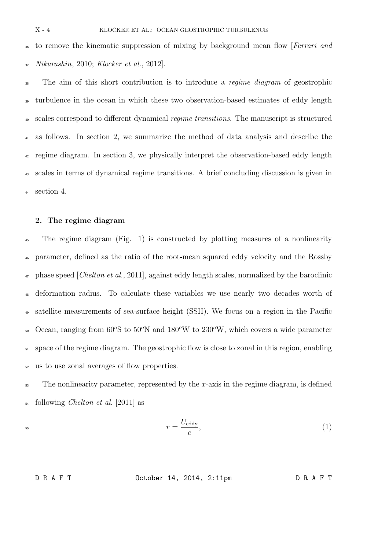<sup>36</sup> to remove the kinematic suppression of mixing by background mean flow [Ferrari and  $Nikurashin$ , 2010; Klocker et al., 2012].

<sup>38</sup> The aim of this short contribution is to introduce a *regime diagram* of geostrophic <sup>39</sup> turbulence in the ocean in which these two observation-based estimates of eddy length <sup>40</sup> scales correspond to different dynamical *regime transitions*. The manuscript is structured <sup>41</sup> as follows. In section 2, we summarize the method of data analysis and describe the <sup>42</sup> regime diagram. In section 3, we physically interpret the observation-based eddy length <sup>43</sup> scales in terms of dynamical regime transitions. A brief concluding discussion is given in section 4.

## 2. The regime diagram

<sup>45</sup> The regime diagram (Fig. 1) is constructed by plotting measures of a nonlinearity <sup>46</sup> parameter, defined as the ratio of the root-mean squared eddy velocity and the Rossby  $\alpha$  phase speed [*Chelton et al.*, 2011], against eddy length scales, normalized by the baroclinic deformation radius. To calculate these variables we use nearly two decades worth of <sup>49</sup> satellite measurements of sea-surface height (SSH). We focus on a region in the Pacific  $\sim$  Ocean, ranging from 60 $\rm{°S}$  to 50 $\rm{°N}$  and 180 $\rm{°W}$  to 230 $\rm{°W}$ , which covers a wide parameter  $_{51}$  space of the regime diagram. The geostrophic flow is close to zonal in this region, enabling <sup>52</sup> us to use zonal averages of flow properties.

 $53$  The nonlinearity parameter, represented by the x-axis in the regime diagram, is defined  $_{54}$  following *Chelton et al.* [2011] as

 $\mathcal{r}$ 

$$
r = \frac{U_{\text{eddy}}}{c},\tag{1}
$$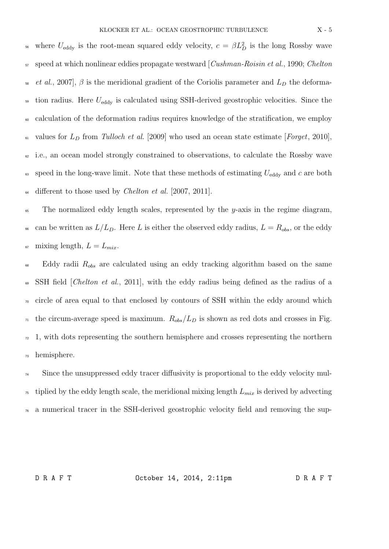<sup>56</sup> where  $U_{\text{eddy}}$  is the root-mean squared eddy velocity,  $c = \beta L_D^2$  is the long Rossby wave  $57$  speed at which nonlinear eddies propagate westward [Cushman-Roisin et al., 1990; Chelton <sup>58</sup> et al., 2007],  $\beta$  is the meridional gradient of the Coriolis parameter and  $L_D$  the deforma- $\frac{1}{59}$  tion radius. Here  $U_{\text{eddy}}$  is calculated using SSH-derived geostrophic velocities. Since the <sup>60</sup> calculation of the deformation radius requires knowledge of the stratification, we employ <sup>61</sup> values for  $L_D$  from Tulloch et al. [2009] who used an ocean state estimate [Forget, 2010],  $\epsilon_2$  i.e., an ocean model strongly constrained to observations, to calculate the Rossby wave <sup>63</sup> speed in the long-wave limit. Note that these methods of estimating  $U_{\text{eddy}}$  and c are both  $\mu$  different to those used by *Chelton et al.* [2007, 2011].

 $65$  The normalized eddy length scales, represented by the y-axis in the regime diagram, <sup>66</sup> can be written as  $L/L_D$ . Here L is either the observed eddy radius,  $L = R_{obs}$ , or the eddy <sup>67</sup> mixing length,  $L = L_{mix}$ .

 $68$  Eddy radii  $R_{obs}$  are calculated using an eddy tracking algorithm based on the same <sup>69</sup> SSH field [*Chelton et al.*, 2011], with the eddy radius being defined as the radius of a  $\pi$  circle of area equal to that enclosed by contours of SSH within the eddy around which  $\eta$  the circum-average speed is maximum.  $R_{obs}/L_D$  is shown as red dots and crosses in Fig.  $\alpha$  1, with dots representing the southern hemisphere and crosses representing the northern <sup>73</sup> hemisphere.

<sup>74</sup> Since the unsuppressed eddy tracer diffusivity is proportional to the eddy velocity mul-<sup>75</sup> tiplied by the eddy length scale, the meridional mixing length  $L_{mix}$  is derived by advecting <sup>76</sup> a numerical tracer in the SSH-derived geostrophic velocity field and removing the sup-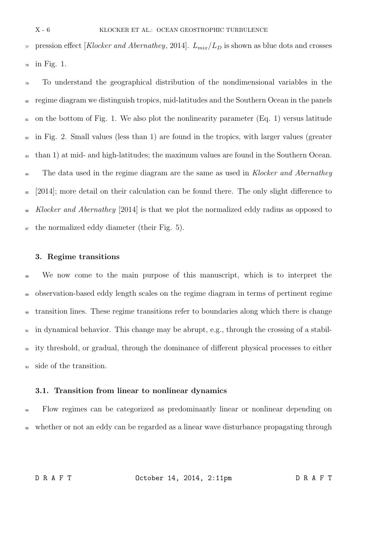$\pi$  pression effect [Klocker and Abernathey, 2014].  $L_{mix}/L_D$  is shown as blue dots and crosses  $78$  in Fig. 1.

<sup>79</sup> To understand the geographical distribution of the nondimensional variables in the <sup>80</sup> regime diagram we distinguish tropics, mid-latitudes and the Southern Ocean in the panels  $\epsilon_{\rm 81}$  on the bottom of Fig. 1. We also plot the nonlinearity parameter (Eq. 1) versus latitude  $\epsilon_{22}$  in Fig. 2. Small values (less than 1) are found in the tropics, with larger values (greater <sup>83</sup> than 1) at mid- and high-latitudes; the maximum values are found in the Southern Ocean. <sup>84</sup> The data used in the regime diagram are the same as used in Klocker and Abernathey <sup>85</sup> [2014]; more detail on their calculation can be found there. The only slight difference to <sup>86</sup> Klocker and Abernathey [2014] is that we plot the normalized eddy radius as opposed to  $\epsilon$  the normalized eddy diameter (their Fig. 5).

#### 3. Regime transitions

 We now come to the main purpose of this manuscript, which is to interpret the observation-based eddy length scales on the regime diagram in terms of pertinent regime transition lines. These regime transitions refer to boundaries along which there is change in dynamical behavior. This change may be abrupt, e.g., through the crossing of a stabil- ity threshold, or gradual, through the dominance of different physical processes to either side of the transition.

## 3.1. Transition from linear to nonlinear dynamics

<sup>94</sup> Flow regimes can be categorized as predominantly linear or nonlinear depending on <sup>95</sup> whether or not an eddy can be regarded as a linear wave disturbance propagating through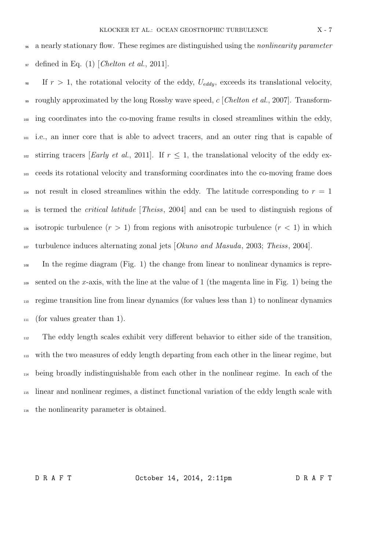<sup>96</sup> a nearly stationary flow. These regimes are distinguished using the *nonlinearity parameter*  $_{97}$  defined in Eq. (1) [Chelton et al., 2011].

<sup>98</sup> If  $r > 1$ , the rotational velocity of the eddy,  $U_{eddv}$ , exceeds its translational velocity, 99 roughly approximated by the long Rossby wave speed, c [Chelton et al., 2007]. Transform-<sup>100</sup> ing coordinates into the co-moving frame results in closed streamlines within the eddy, <sup>101</sup> i.e., an inner core that is able to advect tracers, and an outer ring that is capable of <sup>102</sup> stirring tracers [*Early et al.*, 2011]. If  $r \leq 1$ , the translational velocity of the eddy ex-<sup>103</sup> ceeds its rotational velocity and transforming coordinates into the co-moving frame does <sup>104</sup> not result in closed streamlines within the eddy. The latitude corresponding to  $r = 1$ <sup>105</sup> is termed the critical latitude [Theiss, 2004] and can be used to distinguish regions of <sup>106</sup> isotropic turbulence  $(r > 1)$  from regions with anisotropic turbulence  $(r < 1)$  in which <sup>107</sup> turbulence induces alternating zonal jets [Okuno and Masuda, 2003; Theiss, 2004].

<sup>108</sup> In the regime diagram (Fig. 1) the change from linear to nonlinear dynamics is repre- $_{109}$  sented on the x-axis, with the line at the value of 1 (the magenta line in Fig. 1) being the <sup>110</sup> regime transition line from linear dynamics (for values less than 1) to nonlinear dynamics  $_{111}$  (for values greater than 1).

 The eddy length scales exhibit very different behavior to either side of the transition, with the two measures of eddy length departing from each other in the linear regime, but being broadly indistinguishable from each other in the nonlinear regime. In each of the linear and nonlinear regimes, a distinct functional variation of the eddy length scale with the nonlinearity parameter is obtained.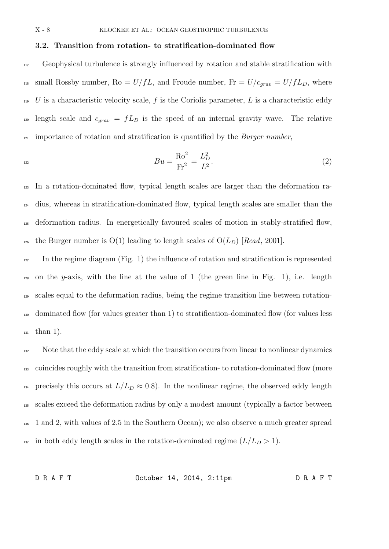# 3.2. Transition from rotation- to stratification-dominated flow

<sup>117</sup> Geophysical turbulence is strongly influenced by rotation and stable stratification with <sup>118</sup> small Rossby number, Ro =  $U/fL$ , and Froude number, Fr =  $U/c_{grav} = U/fL_D$ , where  $119$  U is a characteristic velocity scale, f is the Coriolis parameter, L is a characteristic eddy <sup>120</sup> length scale and  $c_{grav} = fL_D$  is the speed of an internal gravity wave. The relative  $121$  importance of rotation and stratification is quantified by the *Burger number*,

$$
Bu = \frac{\text{Ro}^2}{\text{Fr}^2} = \frac{L_D^2}{L^2}.
$$
\n(2)

 In a rotation-dominated flow, typical length scales are larger than the deformation ra- dius, whereas in stratification-dominated flow, typical length scales are smaller than the deformation radius. In energetically favoured scales of motion in stably-stratified flow, <sup>126</sup> the Burger number is  $O(1)$  leading to length scales of  $O(L_D)$  [Read, 2001].

 $127$  In the regime diagram (Fig. 1) the influence of rotation and stratification is represented <sup>128</sup> on the y-axis, with the line at the value of 1 (the green line in Fig. 1), i.e. length <sup>129</sup> scales equal to the deformation radius, being the regime transition line between rotation-<sup>130</sup> dominated flow (for values greater than 1) to stratification-dominated flow (for values less <sup>131</sup> than 1).

<sup>132</sup> Note that the eddy scale at which the transition occurs from linear to nonlinear dynamics <sup>133</sup> coincides roughly with the transition from stratification- to rotation-dominated flow (more 134 precisely this occurs at  $L/L_D \approx 0.8$ ). In the nonlinear regime, the observed eddy length <sup>135</sup> scales exceed the deformation radius by only a modest amount (typically a factor between <sup>136</sup> 1 and 2, with values of 2.5 in the Southern Ocean); we also observe a much greater spread <sup>137</sup> in both eddy length scales in the rotation-dominated regime  $(L/L_D > 1)$ .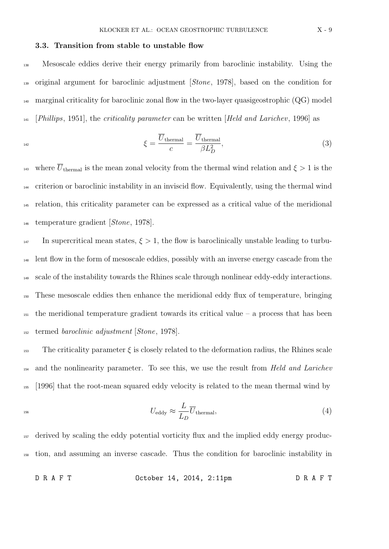### 3.3. Transition from stable to unstable flow

 Mesoscale eddies derive their energy primarily from baroclinic instability. Using the original argument for baroclinic adjustment [Stone, 1978], based on the condition for  $_{140}$  marginal criticality for baroclinic zonal flow in the two-layer quasigeostrophic (QG) model [Phillips, 1951], the criticality parameter can be written [Held and Larichev, 1996] as

$$
\xi = \frac{\overline{U}_{\text{thermal}}}{c} = \frac{\overline{U}_{\text{thermal}}}{\beta L_D^2},\tag{3}
$$

<sup>143</sup> where  $\overline{U}_{\text{thermal}}$  is the mean zonal velocity from the thermal wind relation and  $\xi > 1$  is the criterion or baroclinic instability in an inviscid flow. Equivalently, using the thermal wind relation, this criticality parameter can be expressed as a critical value of the meridional temperature gradient [Stone, 1978].

 $_{147}$  In supercritical mean states,  $\xi > 1$ , the flow is baroclinically unstable leading to turbu- lent flow in the form of mesoscale eddies, possibly with an inverse energy cascade from the scale of the instability towards the Rhines scale through nonlinear eddy-eddy interactions. These mesoscale eddies then enhance the meridional eddy flux of temperature, bringing  $_{151}$  the meridional temperature gradient towards its critical value – a process that has been termed baroclinic adjustment [Stone, 1978].

 $\frac{1}{153}$  The criticality parameter  $\xi$  is closely related to the deformation radius, the Rhines scale <sup>154</sup> and the nonlinearity parameter. To see this, we use the result from *Held and Larichev* <sup>155</sup> [1996] that the root-mean squared eddy velocity is related to the mean thermal wind by

$$
U_{\text{eddy}} \approx \frac{L}{L_D} \overline{U}_{\text{thermal}},\tag{4}
$$

<sup>157</sup> derived by scaling the eddy potential vorticity flux and the implied eddy energy produc-<sup>158</sup> tion, and assuming an inverse cascade. Thus the condition for baroclinic instability in

D R A F T October 14, 2014, 2:11pm D R A F T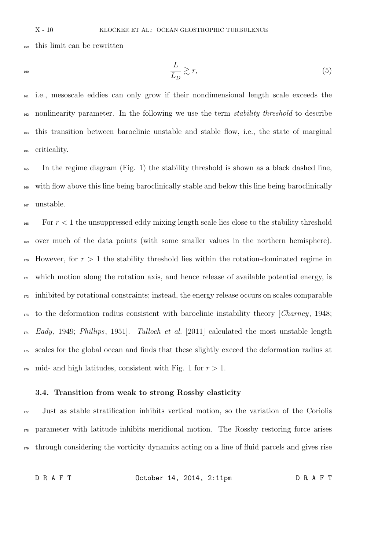this limit can be rewritten

$$
\frac{L}{L_D} \gtrsim r,\tag{5}
$$

 i.e., mesoscale eddies can only grow if their nondimensional length scale exceeds the <sup>162</sup> nonlinearity parameter. In the following we use the term *stability threshold* to describe this transition between baroclinic unstable and stable flow, i.e., the state of marginal criticality.

<sup>165</sup> In the regime diagram (Fig. 1) the stability threshold is shown as a black dashed line, with flow above this line being baroclinically stable and below this line being baroclinically unstable.

 $\frac{1}{168}$  For  $r < 1$  the unsuppressed eddy mixing length scale lies close to the stability threshold over much of the data points (with some smaller values in the northern hemisphere). However, for  $r > 1$  the stability threshold lies within the rotation-dominated regime in which motion along the rotation axis, and hence release of available potential energy, is inhibited by rotational constraints; instead, the energy release occurs on scales comparable to the deformation radius consistent with baroclinic instability theory [Charney, 1948; Eady, 1949; Phillips, 1951. Tulloch et al. [2011] calculated the most unstable length scales for the global ocean and finds that these slightly exceed the deformation radius at <sup>176</sup> mid- and high latitudes, consistent with Fig. 1 for  $r > 1$ .

### 3.4. Transition from weak to strong Rossby elasticity

 Just as stable stratification inhibits vertical motion, so the variation of the Coriolis parameter with latitude inhibits meridional motion. The Rossby restoring force arises through considering the vorticity dynamics acting on a line of fluid parcels and gives rise

D R A F T October 14, 2014, 2:11pm D R A F T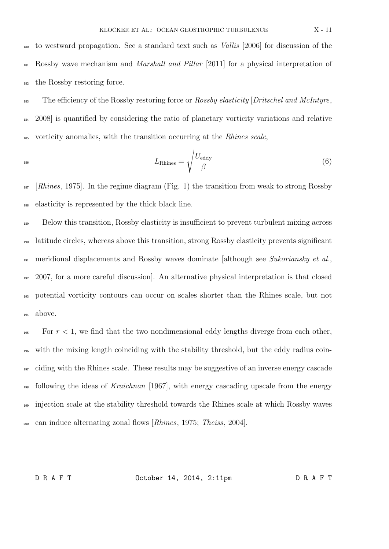<sup>180</sup> to westward propagation. See a standard text such as Vallis [2006] for discussion of the <sup>181</sup> Rossby wave mechanism and *Marshall and Pillar* [2011] for a physical interpretation of <sup>182</sup> the Rossby restoring force.

 $\frac{1}{183}$  The efficiency of the Rossby restoring force or Rossby elasticity [Dritschel and McIntyre, <sup>184</sup> 2008] is quantified by considering the ratio of planetary vorticity variations and relative <sup>185</sup> vorticity anomalies, with the transition occurring at the *Rhines scale*,

$$
L_{\text{Rhines}} = \sqrt{\frac{U_{\text{eddy}}}{\beta}} \tag{6}
$$

 $187$  [Rhines, 1975]. In the regime diagram (Fig. 1) the transition from weak to strong Rossby <sup>188</sup> elasticity is represented by the thick black line.

 Below this transition, Rossby elasticity is insufficient to prevent turbulent mixing across latitude circles, whereas above this transition, strong Rossby elasticity prevents significant meridional displacements and Rossby waves dominate [although see Sukoriansky et al., 2007, for a more careful discussion]. An alternative physical interpretation is that closed potential vorticity contours can occur on scales shorter than the Rhines scale, but not <sup>194</sup> above.

<sup>195</sup> For  $r < 1$ , we find that the two nondimensional eddy lengths diverge from each other, with the mixing length coinciding with the stability threshold, but the eddy radius coin-<sup>197</sup> ciding with the Rhines scale. These results may be suggestive of an inverse energy cascade following the ideas of Kraichnan [1967], with energy cascading upscale from the energy injection scale at the stability threshold towards the Rhines scale at which Rossby waves can induce alternating zonal flows [Rhines, 1975; Theiss, 2004].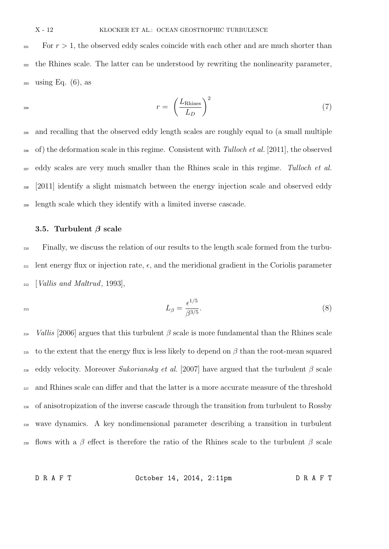#### X - 12 KLOCKER ET AL.: OCEAN GEOSTROPHIC TURBULENCE

<sup>201</sup> For  $r > 1$ , the observed eddy scales coincide with each other and are much shorter than <sup>202</sup> the Rhines scale. The latter can be understood by rewriting the nonlinearity parameter,  $_{203}$  using Eq. (6), as

$$
r = \left(\frac{L_{\text{Rhines}}}{L_D}\right)^2 \tag{7}
$$

 and recalling that the observed eddy length scales are roughly equal to (a small multiple of) the deformation scale in this regime. Consistent with Tulloch et al. [2011], the observed <sub>207</sub> eddy scales are very much smaller than the Rhines scale in this regime. Tulloch et al. [2011] identify a slight mismatch between the energy injection scale and observed eddy length scale which they identify with a limited inverse cascade.

#### 3.5. Turbulent  $\beta$  scale

<sup>210</sup> Finally, we discuss the relation of our results to the length scale formed from the turbu- $_{211}$  lent energy flux or injection rate,  $\epsilon$ , and the meridional gradient in the Coriolis parameter  $_{212}$  [*Vallis and Maltrud*, 1993],

$$
L_{\beta} = \frac{\epsilon^{1/5}}{\beta^{3/5}}.\tag{8}
$$

<sup>214</sup> Vallis [2006] argues that this turbulent  $\beta$  scale is more fundamental than the Rhines scale <sup>215</sup> to the extent that the energy flux is less likely to depend on  $\beta$  than the root-mean squared 216 eddy velocity. Moreover Sukoriansky et al. [2007] have argued that the turbulent  $\beta$  scale <sup>217</sup> and Rhines scale can differ and that the latter is a more accurate measure of the threshold <sup>218</sup> of anisotropization of the inverse cascade through the transition from turbulent to Rossby <sup>219</sup> wave dynamics. A key nondimensional parameter describing a transition in turbulent <sup>220</sup> flows with a β effect is therefore the ratio of the Rhines scale to the turbulent β scale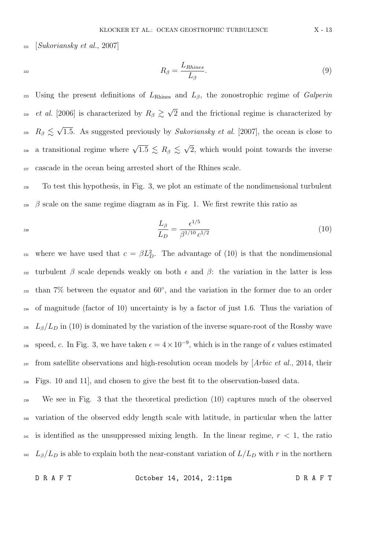$_{221}$  [Sukoriansky et al., 2007]

$$
R_{\beta} = \frac{L_{Rhines}}{L_{\beta}}.\tag{9}
$$

<sup>223</sup> Using the present definitions of  $L_{\text{Rhines}}$  and  $L_{\beta}$ , the zonostrophic regime of *Galperin et al.* [2006] is characterized by  $R_\beta \gtrsim \sqrt{\ }$ <sup>224</sup> et al. [2006] is characterized by  $R_\beta \gtrsim \sqrt{2}$  and the frictional regime is characterized by  $R_\beta \lesssim \sqrt{ }$ <sup>225</sup>  $R_\beta \lesssim \sqrt{1.5}$ . As suggested previously by Sukoriansky et al. [2007], the ocean is close to a transitional regime where  $\sqrt{1.5} \le R_\beta \le \sqrt{2}$ 226 a transitional regime where  $\sqrt{1.5} \le R_\beta \le \sqrt{2}$ , which would point towards the inverse <sup>227</sup> cascade in the ocean being arrested short of the Rhines scale.

<sup>228</sup> To test this hypothesis, in Fig. 3, we plot an estimate of the nondimensional turbulent  $\beta$  scale on the same regime diagram as in Fig. 1. We first rewrite this ratio as

$$
\frac{L_{\beta}}{L_{D}} = \frac{\epsilon^{1/5}}{\beta^{1/10} c^{1/2}} \tag{10}
$$

<sup>231</sup> where we have used that  $c = \beta L_D^2$ . The advantage of (10) is that the nondimensional <sup>232</sup> turbulent β scale depends weakly on both  $\epsilon$  and β: the variation in the latter is less  $_{233}$  than 7% between the equator and 60 $^{\circ}$ , and the variation in the former due to an order <sup>234</sup> of magnitude (factor of 10) uncertainty is by a factor of just 1.6. Thus the variation of <sup>235</sup> L<sub>β</sub>/L<sub>D</sub> in (10) is dominated by the variation of the inverse square-root of the Rossby wave speed, c. In Fig. 3, we have taken  $\epsilon = 4 \times 10^{-9}$ , which is in the range of  $\epsilon$  values estimated <sup>237</sup> from satellite observations and high-resolution ocean models by  $[Arbic et al., 2014, their$ <sup>238</sup> Figs. 10 and 11], and chosen to give the best fit to the observation-based data.

<sup>239</sup> We see in Fig. 3 that the theoretical prediction (10) captures much of the observed <sup>240</sup> variation of the observed eddy length scale with latitude, in particular when the latter <sup>241</sup> is identified as the unsuppressed mixing length. In the linear regime,  $r < 1$ , the ratio <sup>242</sup>  $L_{\beta}/L_D$  is able to explain both the near-constant variation of  $L/L_D$  with r in the northern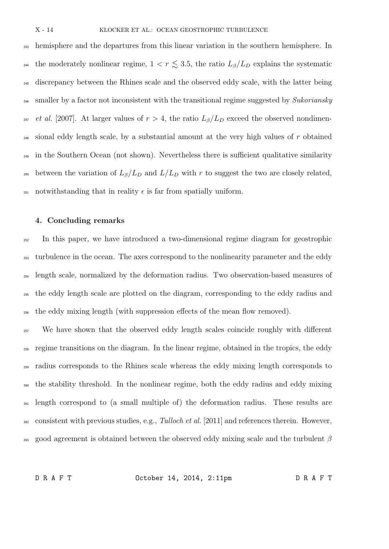<sub>243</sub> hemisphere and the departures from this linear variation in the southern hemisphere. In <sup>244</sup> the moderately nonlinear regime,  $1 < r \lesssim 3.5$ , the ratio  $L_{\beta}/L_D$  explains the systematic <sup>245</sup> discrepancy between the Rhines scale and the observed eddy scale, with the latter being  $_{246}$  smaller by a factor not inconsistent with the transitional regime suggested by Sukoriansky <sup>247</sup> et al. [2007]. At larger values of  $r > 4$ , the ratio  $L_\beta/L_D$  exceed the observed nondimen- $_{248}$  sional eddy length scale, by a substantial amount at the very high values of r obtained <sup>249</sup> in the Southern Ocean (not shown). Nevertheless there is sufficient qualitative similarity <sup>250</sup> between the variation of  $L_{\beta}/L_D$  and  $L/L_D$  with r to suggest the two are closely related, 251 notwithstanding that in reality  $\epsilon$  is far from spatially uniform.

## 4. Concluding remarks

<sup>252</sup> In this paper, we have introduced a two-dimensional regime diagram for geostrophic turbulence in the ocean. The axes correspond to the nonlinearity parameter and the eddy length scale, normalized by the deformation radius. Two observation-based measures of the eddy length scale are plotted on the diagram, corresponding to the eddy radius and the eddy mixing length (with suppression effects of the mean flow removed).

<sup>257</sup> We have shown that the observed eddy length scales coincide roughly with different <sup>258</sup> regime transitions on the diagram. In the linear regime, obtained in the tropics, the eddy <sup>259</sup> radius corresponds to the Rhines scale whereas the eddy mixing length corresponds to <sup>260</sup> the stability threshold. In the nonlinear regime, both the eddy radius and eddy mixing <sub>261</sub> length correspond to (a small multiple of) the deformation radius. These results are  $_{262}$  consistent with previous studies, e.g., Tulloch et al. [2011] and references therein. However, <sup>263</sup> good agreement is obtained between the observed eddy mixing scale and the turbulent  $\beta$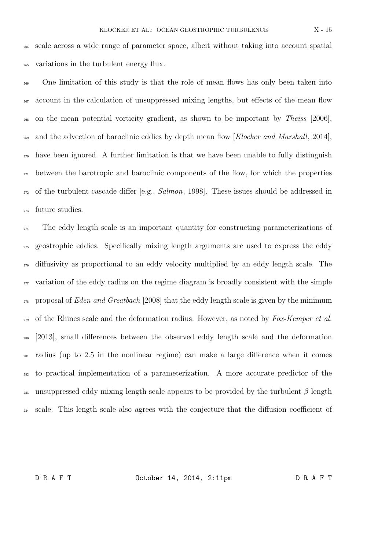<sup>264</sup> scale across a wide range of parameter space, albeit without taking into account spatial <sup>265</sup> variations in the turbulent energy flux.

<sup>266</sup> One limitation of this study is that the role of mean flows has only been taken into <sub>267</sub> account in the calculation of unsuppressed mixing lengths, but effects of the mean flow <sub>268</sub> on the mean potential vorticity gradient, as shown to be important by Theiss [2006], <sup>269</sup> and the advection of baroclinic eddies by depth mean flow [Klocker and Marshall, 2014],  $_{270}$  have been ignored. A further limitation is that we have been unable to fully distinguish <sup>271</sup> between the barotropic and baroclinic components of the flow, for which the properties <sub>272</sub> of the turbulent cascade differ [e.g., *Salmon*, 1998]. These issues should be addressed in <sup>273</sup> future studies.

 The eddy length scale is an important quantity for constructing parameterizations of geostrophic eddies. Specifically mixing length arguments are used to express the eddy diffusivity as proportional to an eddy velocity multiplied by an eddy length scale. The variation of the eddy radius on the regime diagram is broadly consistent with the simple <sub>278</sub> proposal of *Eden and Greatbach* [2008] that the eddy length scale is given by the minimum  $_{279}$  of the Rhines scale and the deformation radius. However, as noted by Fox-Kemper et al. [2013], small differences between the observed eddy length scale and the deformation radius (up to 2.5 in the nonlinear regime) can make a large difference when it comes to practical implementation of a parameterization. A more accurate predictor of the 283 unsuppressed eddy mixing length scale appears to be provided by the turbulent  $\beta$  length scale. This length scale also agrees with the conjecture that the diffusion coefficient of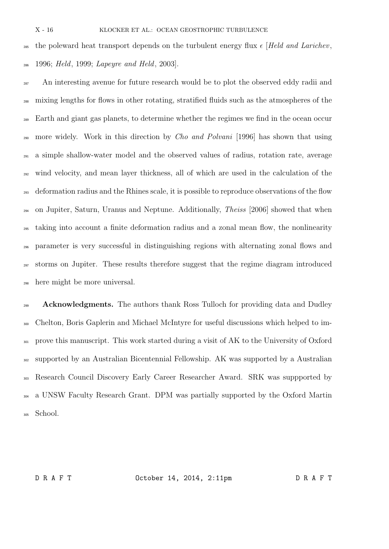<sup>285</sup> the poleward heat transport depends on the turbulent energy flux  $\epsilon$  [Held and Larichev, 1996; Held, 1999; Lapeyre and Held, 2003].

<sup>287</sup> An interesting avenue for future research would be to plot the observed eddy radii and mixing lengths for flows in other rotating, stratified fluids such as the atmospheres of the <sup>289</sup> Earth and giant gas planets, to determine whether the regimes we find in the ocean occur <sub>290</sub> more widely. Work in this direction by *Cho and Polvani* [1996] has shown that using a simple shallow-water model and the observed values of radius, rotation rate, average wind velocity, and mean layer thickness, all of which are used in the calculation of the deformation radius and the Rhines scale, it is possible to reproduce observations of the flow on Jupiter, Saturn, Uranus and Neptune. Additionally, Theiss [2006] showed that when taking into account a finite deformation radius and a zonal mean flow, the nonlinearity parameter is very successful in distinguishing regions with alternating zonal flows and storms on Jupiter. These results therefore suggest that the regime diagram introduced here might be more universal.

**Acknowledgments.** The authors thank Ross Tulloch for providing data and Dudley Chelton, Boris Gaplerin and Michael McIntyre for useful discussions which helped to im-<sup>301</sup> prove this manuscript. This work started during a visit of AK to the University of Oxford supported by an Australian Bicentennial Fellowship. AK was supported by a Australian Research Council Discovery Early Career Researcher Award. SRK was suppported by a UNSW Faculty Research Grant. DPM was partially supported by the Oxford Martin 305 School.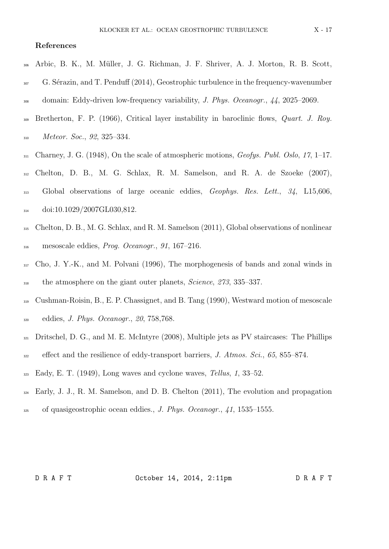# References

- <sup>306</sup> Arbic, B. K., M. M¨uller, J. G. Richman, J. F. Shriver, A. J. Morton, R. B. Scott,
- $S<sub>307</sub>$  G. Sérazin, and T. Penduff (2014), Geostrophic turbulence in the frequency-wavenumber
- <sup>308</sup> domain: Eddy-driven low-frequency variability, J. Phys. Oceanogr., 44, 2025–2069.
- 309 Bretherton, F. P. (1966), Critical layer instability in baroclinic flows, Quart. J. Roy. <sup>310</sup> Meteor. Soc., 92, 325–334.
- $_{311}$  Charney, J. G. (1948), On the scale of atmospheric motions, *Geofys. Publ. Oslo, 17,* 1–17.
- <sup>312</sup> Chelton, D. B., M. G. Schlax, R. M. Samelson, and R. A. de Szoeke (2007),
- <sup>313</sup> Global observations of large oceanic eddies, *Geophys. Res. Lett.*, 34, L15,606, 314 doi:10.1029/2007GL030,812.
- <sup>315</sup> Chelton, D. B., M. G. Schlax, and R. M. Samelson (2011), Global observations of nonlinear <sup>316</sup> mesoscale eddies, Prog. Oceanogr., 91, 167–216.
- <sup>317</sup> Cho, J. Y.-K., and M. Polvani (1996), The morphogenesis of bands and zonal winds in <sup>318</sup> the atmosphere on the giant outer planets, *Science*, 273, 335–337.
- <sup>319</sup> Cushman-Roisin, B., E. P. Chassignet, and B. Tang (1990), Westward motion of mesoscale <sup>320</sup> eddies, J. Phys. Oceanogr., 20, 758,768.
- <sup>321</sup> Dritschel, D. G., and M. E. McIntyre (2008), Multiple jets as PV staircases: The Phillips
- $\text{4}^{322}$  effect and the resilience of eddy-transport barriers, J. Atmos. Sci., 65, 855–874.
- $\text{Bady, E. T. (1949)}$ , Long waves and cyclone waves, Tellus, 1, 33–52.
- $_{324}$  Early, J. J., R. M. Samelson, and D. B. Chelton  $(2011)$ , The evolution and propagation
- $325$  of quasigeostrophic ocean eddies., J. Phys. Oceanogr., 41, 1535–1555.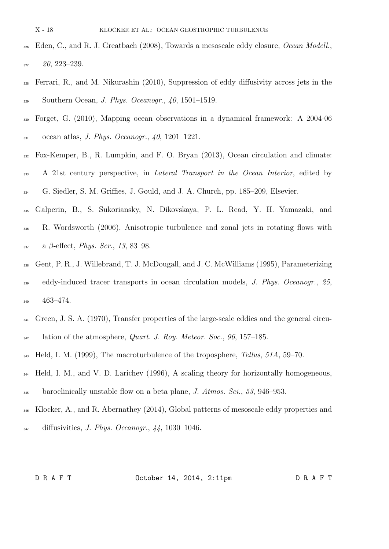- X 18 KLOCKER ET AL.: OCEAN GEOSTROPHIC TURBULENCE
- <sup>326</sup> Eden, C., and R. J. Greatbach (2008), Towards a mesoscale eddy closure, *Ocean Modell.*,  $20, 223 - 239.$
- Ferrari, R., and M. Nikurashin (2010), Suppression of eddy diffusivity across jets in the Southern Ocean, J. Phys. Oceanogr., 40, 1501–1519.
- Forget, G. (2010), Mapping ocean observations in a dynamical framework: A 2004-06 331 ocean atlas, *J. Phys. Oceanogr.*, , 1201–1221.
- Fox-Kemper, B., R. Lumpkin, and F. O. Bryan (2013), Ocean circulation and climate:
- A 21st century perspective, in Lateral Transport in the Ocean Interior, edited by
- G. Siedler, S. M. Griffies, J. Gould, and J. A. Church, pp. 185–209, Elsevier.
- Galperin, B., S. Sukoriansky, N. Dikovskaya, P. L. Read, Y. H. Yamazaki, and R. Wordsworth (2006), Anisotropic turbulence and zonal jets in rotating flows with a  $\beta$ -effect, *Phys. Scr.*, 13, 83–98.
- Gent, P. R., J. Willebrand, T. J. McDougall, and J. C. McWilliams (1995), Parameterizing eddy-induced tracer transports in ocean circulation models, J. Phys. Oceanogr., 25, 463–474.
- <sup>341</sup> Green, J. S. A. (1970), Transfer properties of the large-scale eddies and the general circu-lation of the atmosphere, *Quart. J. Roy. Meteor. Soc.*, 96, 157–185.
- $_{343}$  Held, I. M. (1999), The macroturbulence of the troposphere, Tellus, 51A, 59–70.
- <sup>344</sup> Held, I. M., and V. D. Larichev (1996), A scaling theory for horizontally homogeneous,  $\frac{3}{45}$  baroclinically unstable flow on a beta plane, J. Atmos. Sci., 53, 946–953.
- Klocker, A., and R. Abernathey (2014), Global patterns of mesoscale eddy properties and diffusivities, J. Phys. Oceanogr.,  $44$ , 1030-1046.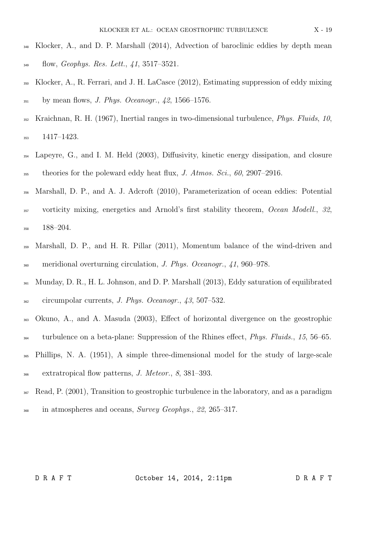- Klocker, A., and D. P. Marshall (2014), Advection of baroclinic eddies by depth mean  $\frac{1}{349}$  flow, *Geophys. Res. Lett.*, 41, 3517–3521.
- Klocker, A., R. Ferrari, and J. H. LaCasce (2012), Estimating suppression of eddy mixing  $\frac{351}{351}$  by mean flows, *J. Phys. Oceanogr.*, 42, 1566–1576.
- Kraichnan, R. H. (1967), Inertial ranges in two-dimensional turbulence, *Phys. Fluids*, 10, 1417–1423.
- Lapeyre, G., and I. M. Held (2003), Diffusivity, kinetic energy dissipation, and closure theories for the poleward eddy heat flux, J. Atmos. Sci., 60, 2907–2916.
- Marshall, D. P., and A. J. Adcroft (2010), Parameterization of ocean eddies: Potential
- 357 vorticity mixing, energetics and Arnold's first stability theorem, Ocean Modell., 32, 188–204.
- Marshall, D. P., and H. R. Pillar (2011), Momentum balance of the wind-driven and meridional overturning circulation, J. Phys. Oceanogr., 41, 960–978.
- Munday, D. R., H. L. Johnson, and D. P. Marshall (2013), Eddy saturation of equilibrated circumpolar currents, J. Phys. Oceanogr., 43, 507–532.
- Okuno, A., and A. Masuda (2003), Effect of horizontal divergence on the geostrophic
- <sup>364</sup> turbulence on a beta-plane: Suppression of the Rhines effect, *Phys. Fluids.*, 15, 56–65.
- Phillips, N. A. (1951), A simple three-dimensional model for the study of large-scale extratropical flow patterns, J. Meteor., 8, 381–393.
- $\frac{367}{367}$  Read, P. (2001), Transition to geostrophic turbulence in the laboratory, and as a paradigm <sup>368</sup> in atmospheres and oceans, Survey Geophys., 22, 265–317.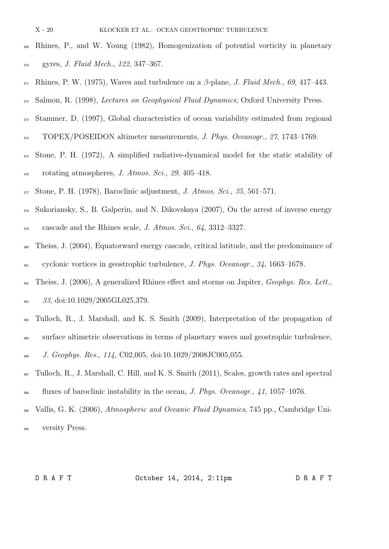- X 20 KLOCKER ET AL.: OCEAN GEOSTROPHIC TURBULENCE
- Rhines, P., and W. Young (1982), Homogenization of potential vorticity in planetary gyres, J. Fluid Mech., 122, 347–367.
- 371 Rhines, P. W. (1975), Waves and turbulence on a  $\beta$ -plane, J. Fluid Mech., 69, 417–443.
- 372 Salmon, R. (1998), Lectures on Geophysical Fluid Dynamics, Oxford University Press.
- Stammer, D. (1997), Global characteristics of ocean variability estimated from regional 374 TOPEX/POSEIDON altimeter measurements, J. Phys. Oceanogr., 27, 1743–1769.
- Stone, P. H. (1972), A simplified radiative-dynamical model for the static stability of rotating atmospheres, J. Atmos. Sci., 29, 405–418.
- Stone, P. H. (1978), Baroclinic adjustment, J. Atmos. Sci., 35, 561–571.
- Sukoriansky, S., B. Galperin, and N. Dikovskaya (2007), On the arrest of inverse energy cascade and the Rhines scale, J. Atmos. Sci., 64, 3312–3327.
- Theiss, J. (2004), Equatorward energy cascade, critical latitude, and the predominance of cyclonic vortices in geostrophic turbulence, J. Phys. Oceanogr., 34, 1663–1678.
- 382 Theiss, J. (2006), A generalized Rhines effect and storms on Jupiter, Geophys. Res. Lett.,
- 383 33, doi:10.1029/2005GL025,379.
- Tulloch, R., J. Marshall, and K. S. Smith (2009), Interpretation of the propagation of
- surface altimetric observations in terms of planetary waves and geostrophic turbulence,
- J. Geophys. Res., 114, C02,005, doi:10.1029/2008JC005,055.
- Tulloch, R., J. Marshall, C. Hill, and K. S. Smith (2011), Scales, growth rates and spectral <sup>388</sup> fluxes of baroclinic instability in the ocean, *J. Phys. Oceanogr.*, 41, 1057–1076.
- Vallis, G. K. (2006), Atmospheric and Oceanic Fluid Dynamics, 745 pp., Cambridge Uni-versity Press.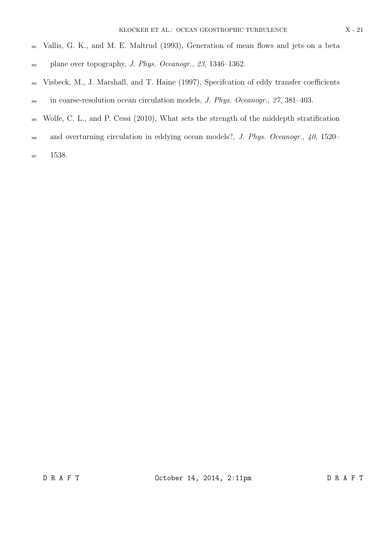- Vallis, G. K., and M. E. Maltrud (1993), Generation of mean flows and jets on a beta
- plane over topography, J. Phys. Oceanogr., 23, 1346–1362.
- Visbeck, M., J. Marshall, and T. Haine (1997), Specifcation of eddy transfer coefficients in coarse-resolution ocean circulation models, J. Phys. Oceanogr., 27, 381–403.
- Wolfe, C. L., and P. Cessi (2010), What sets the strength of the middepth stratification
- 396 and overturning circulation in eddying ocean models?, J. Phys. Oceanogr., 40, 1520–
- 1538.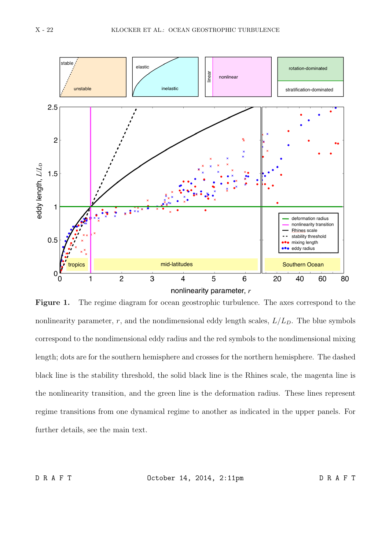

Figure 1. The regime diagram for ocean geostrophic turbulence. The axes correspond to the nonlinearity parameter, r, and the nondimensional eddy length scales,  $L/L<sub>D</sub>$ . The blue symbols correspond to the nondimensional eddy radius and the red symbols to the nondimensional mixing length; dots are for the southern hemisphere and crosses for the northern hemisphere. The dashed black line is the stability threshold, the solid black line is the Rhines scale, the magenta line is the nonlinearity transition, and the green line is the deformation radius. These lines represent regime transitions from one dynamical regime to another as indicated in the upper panels. For further details, see the main text.